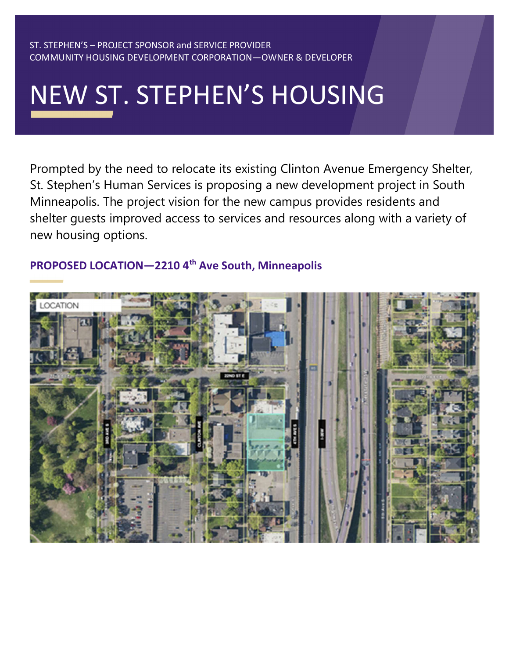#### ST. STEPHEN'S – PROJECT SPONSOR and SERVICE PROVIDER COMMUNITY HOUSING DEVELOPMENT CORPORATION—OWNER & DEVELOPER

# NEW ST. STEPHEN'S HOUSING

Prompted by the need to relocate its existing Clinton Avenue Emergency Shelter, St. Stephen's Human Services is proposing a new development project in South Minneapolis. The project vision for the new campus provides residents and shelter guests improved access to services and resources along with a variety of new housing options.

## PROPOSED LOCATION-2210 4<sup>th</sup> Ave South, Minneapolis